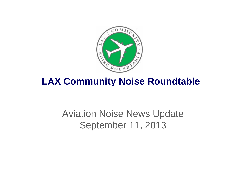

## **LAX Community Noise Roundtable**

# Aviation Noise News Update September 11, 2013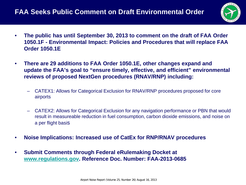### **FAA Seeks Public Comment on Draft Environmental Order**



- **The public has until September 30, 2013 to comment on the draft of FAA Order 1050.1F - Environmental Impact: Policies and Procedures that will replace FAA Order 1050.1E**
- **There are 29 additions to FAA Order 1050.1E, other changes expand and update the FAA's goal to "ensure timely, effective, and efficient" environmental reviews of proposed NextGen procedures (RNAV/RNP) including:**
	- CATEX1: Allows for Categorical Exclusion for RNAV/RNP procedures proposed for core airports
	- CATEX2: Allows for Categorical Exclusion for any navigation performance or PBN that would result in measureable reduction in fuel consumption, carbon dioxide emissions, and noise on a per flight basis
- **Noise Implications: Increased use of CatEx for RNP/RNAV procedures**
- **Submit Comments through Federal eRulemaking Docket at [www.regulations.gov.](http://www.regulations.gov/) Reference Doc. Number: FAA-2013-0685**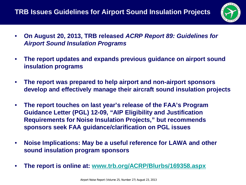

- **On August 20, 2013, TRB released** *ACRP Report 89: Guidelines for Airport Sound Insulation Programs*
- **The report updates and expands previous guidance on airport sound insulation programs**
- **The report was prepared to help airport and non-airport sponsors develop and effectively manage their aircraft sound insulation projects**
- **The report touches on last year's release of the FAA's Program Guidance Letter (PGL) 12-09, "AIP Eligibility and Justification Requirements for Noise Insulation Projects," but recommends sponsors seek FAA guidance/clarification on PGL issues**
- **Noise Implications: May be a useful reference for LAWA and other sound insulation program sponsors**
- **The report is online at: [www.trb.org/ACRP/Blurbs/169358.aspx](http://www.trb.org/ACRP/Blurbs/169358.aspx)**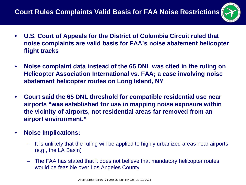

- **U.S. Court of Appeals for the District of Columbia Circuit ruled that noise complaints are valid basis for FAA's noise abatement helicopter flight tracks**
- **Noise complaint data instead of the 65 DNL was cited in the ruling on Helicopter Association International vs. FAA; a case involving noise abatement helicopter routes on Long Island, NY**
- **Court said the 65 DNL threshold for compatible residential use near airports "was established for use in mapping noise exposure within the vicinity of airports, not residential areas far removed from an airport environment."**
- **Noise Implications:**
	- It is unlikely that the ruling will be applied to highly urbanized areas near airports (e.g., the LA Basin)
	- The FAA has stated that it does not believe that mandatory helicopter routes would be feasible over Los Angeles County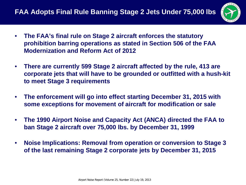

- **The FAA's final rule on Stage 2 aircraft enforces the statutory prohibition barring operations as stated in Section 506 of the FAA Modernization and Reform Act of 2012**
- **There are currently 599 Stage 2 aircraft affected by the rule, 413 are corporate jets that will have to be grounded or outfitted with a hush-kit to meet Stage 3 requirements**
- **The enforcement will go into effect starting December 31, 2015 with some exceptions for movement of aircraft for modification or sale**
- **The 1990 Airport Noise and Capacity Act (ANCA) directed the FAA to ban Stage 2 aircraft over 75,000 lbs. by December 31, 1999**
- **Noise Implications: Removal from operation or conversion to Stage 3 of the last remaining Stage 2 corporate jets by December 31, 2015**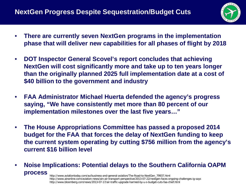

- **There are currently seven NextGen programs in the implementation phase that will deliver new capabilities for all phases of flight by 2018**
- **DOT Inspector General Scovel's report concludes that achieving NextGen will cost significantly more and take up to ten years longer than the originally planned 2025 full implementation date at a cost of \$40 billion to the government and industry**
- **FAA Administrator Michael Huerta defended the agency's progress saying, "We have consistently met more than 80 percent of our implementation milestones over the last five years…"**
- **The House Appropriations Committee has passed a proposed 2014 budget for the FAA that forces the delay of NextGen funding to keep the current system operating by cutting \$756 million from the agency's current \$16 billion level**
- **Noise Implications: Potential delays to the Southern California OAPM process** http://www.aviationtoday.com/av/business-and-general-aviation/The-Road-to-NextGen\_79937.html

http://www.ainonline.com/aviation-news/ain-air-transport-perspective/2013-07-22/nextgen-faces-ongoing-challenges-ig-says http://www.bloomberg.com/news/2013-07-17/air-traffic-upgrade-harmed-by-u-s-budget-cuts-faa-chief.html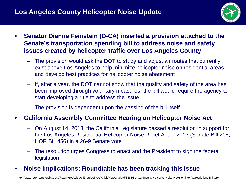### **Los Angeles County Helicopter Noise Update**



- **Senator Dianne Feinstein (D-CA) inserted a provision attached to the Senate's transportation spending bill to address noise and safety issues created by helicopter traffic over Los Angeles County**
	- The provision would ask the DOT to study and adjust air routes that currently exist above Los Angeles to help minimize helicopter noise on residential areas and develop best practices for helicopter noise abatement
	- If, after a year, the DOT cannot show that the quality and safety of the area has been improved through voluntary measures, the bill would require the agency to start developing a rule to address the issue
	- The provision is dependent upon the passing of the bill itself

#### • **California Assembly Committee Hearing on Helicopter Noise Act**

- On August 14, 2013, the California Legislature passed a resolution in support for the Los Angeles Residential Helicopter Noise Relief Act of 2013 (Senate Bill 208, HOR Bill 456) in a 26-9 Senate vote
- The resolution urges Congress to enact and the President to sign the federal legislation

#### • **Noise Implications: Roundtable has been tracking this issue**

http://www.rotor.com/Publications/RotorNews/tabid/843/articleType/ArticleView/articleId/3281/Senator-Inserts-Helicopter-Noise-Provision-into-Appropriations-Bill.aspx